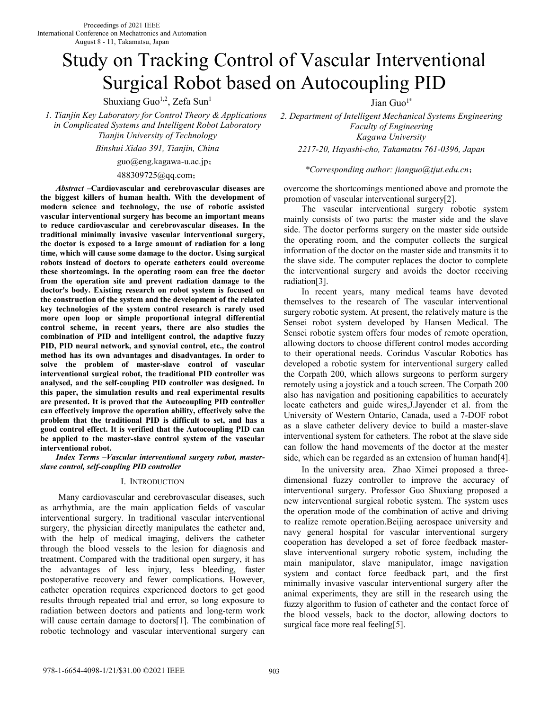# Study on Tracking Control of Vascular Interventional Surgical Robot based on Autocoupling PID

Shuxiang Guo<sup>1,2</sup>, Zefa Sun<sup>1</sup>

*1. Tianjin Key Laboratory for Control Theory & Applications in Complicated Systems and Intelligent Robot Laboratory Tianjin University of Technology* 

*Binshui Xidao 391, Tianjin, China 2217-20, Hayashi-cho, Takamatsu 761-0396, Japan* 

guo@eng.kagawa-u.ac.jp;

#### 488309725@qq.com;

*Abstract* **–Cardiovascular and cerebrovascular diseases are the biggest killers of human health. With the development of modern science and technology, the use of robotic assisted vascular interventional surgery has become an important means to reduce cardiovascular and cerebrovascular diseases. In the traditional minimally invasive vascular interventional surgery, the doctor is exposed to a large amount of radiation for a long time, which will cause some damage to the doctor. Using surgical robots instead of doctors to operate catheters could overcome these shortcomings. In the operating room can free the doctor from the operation site and prevent radiation damage to the doctor's body. Existing research on robot system is focused on the construction of the system and the development of the related key technologies of the system control research is rarely used more open loop or simple proportional integral differential control scheme, in recent years, there are also studies the combination of PID and intelligent control, the adaptive fuzzy PID, PID neural network, and synovial control, etc., the control method has its own advantages and disadvantages. In order to solve the problem of master-slave control of vascular interventional surgical robot, the traditional PID controller was analysed, and the self-coupling PID controller was designed. In this paper, the simulation results and real experimental results are presented. It is proved that the Autocoupling PID controller can effectively improve the operation ability, effectively solve the problem that the traditional PID is difficult to set, and has a good control effect. It is verified that the Autocoupling PID can be applied to the master-slave control system of the vascular interventional robot.**

*Index Terms –Vascular interventional surgery robot, masterslave control, self-coupling PID controller* 

#### I. INTRODUCTION

Many cardiovascular and cerebrovascular diseases, such as arrhythmia, are the main application fields of vascular interventional surgery. In traditional vascular interventional surgery, the physician directly manipulates the catheter and, with the help of medical imaging, delivers the catheter through the blood vessels to the lesion for diagnosis and treatment. Compared with the traditional open surgery, it has the advantages of less injury, less bleeding, faster postoperative recovery and fewer complications. However, catheter operation requires experienced doctors to get good results through repeated trial and error, so long exposure to radiation between doctors and patients and long-term work will cause certain damage to doctors[1]. The combination of robotic technology and vascular interventional surgery can

Jian Guo $1^*$ 

*2. Department of Intelligent Mechanical Systems Engineering Faculty of Engineering Kagawa University* 

## *\*Corresponding author: jianguo@tjut.edu.cn*;

overcome the shortcomings mentioned above and promote the promotion of vascular interventional surgery[2].

The vascular interventional surgery robotic system mainly consists of two parts: the master side and the slave side. The doctor performs surgery on the master side outside the operating room, and the computer collects the surgical information of the doctor on the master side and transmits it to the slave side. The computer replaces the doctor to complete the interventional surgery and avoids the doctor receiving radiation[3].

In recent years, many medical teams have devoted themselves to the research of The vascular interventional surgery robotic system. At present, the relatively mature is the Sensei robot system developed by Hansen Medical. The Sensei robotic system offers four modes of remote operation, allowing doctors to choose different control modes according to their operational needs. Corindus Vascular Robotics has developed a robotic system for interventional surgery called the Corpath 200, which allows surgeons to perform surgery remotely using a joystick and a touch screen. The Corpath 200 also has navigation and positioning capabilities to accurately locate catheters and guide wires,J.Jayender et al. from the University of Western Ontario, Canada, used a 7-DOF robot as a slave catheter delivery device to build a master-slave interventional system for catheters. The robot at the slave side can follow the hand movements of the doctor at the master side, which can be regarded as an extension of human hand[4].

In the university area, Zhao Ximei proposed a threedimensional fuzzy controller to improve the accuracy of interventional surgery. Professor Guo Shuxiang proposed a new interventional surgical robotic system. The system uses the operation mode of the combination of active and driving to realize remote operation.Beijing aerospace university and navy general hospital for vascular interventional surgery cooperation has developed a set of force feedback masterslave interventional surgery robotic system, including the main manipulator, slave manipulator, image navigation system and contact force feedback part, and the first minimally invasive vascular interventional surgery after the animal experiments, they are still in the research using the fuzzy algorithm to fusion of catheter and the contact force of the blood vessels, back to the doctor, allowing doctors to surgical face more real feeling[5].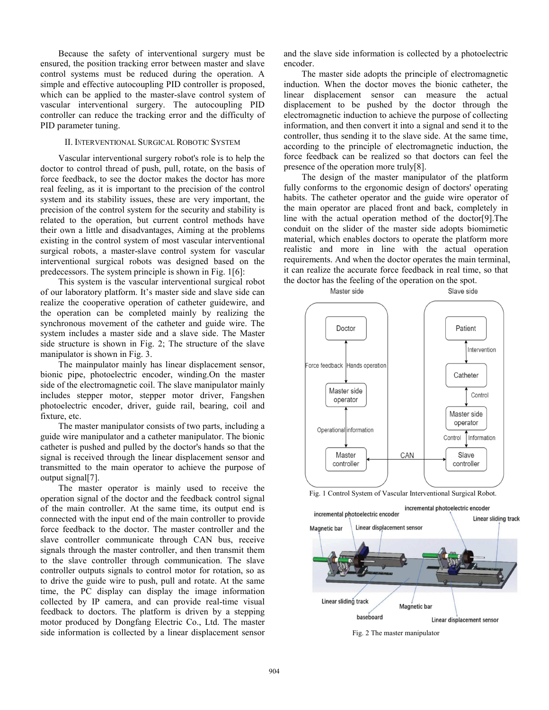Because the safety of interventional surgery must be ensured, the position tracking error between master and slave control systems must be reduced during the operation. A simple and effective autocoupling PID controller is proposed, which can be applied to the master-slave control system of vascular interventional surgery. The autocoupling PID controller can reduce the tracking error and the difficulty of PID parameter tuning.

## II. INTERVENTIONAL SURGICAL ROBOTIC SYSTEM

Vascular interventional surgery robot's role is to help the doctor to control thread of push, pull, rotate, on the basis of force feedback, to see the doctor makes the doctor has more real feeling, as it is important to the precision of the control system and its stability issues, these are very important, the precision of the control system for the security and stability is related to the operation, but current control methods have their own a little and disadvantages, Aiming at the problems existing in the control system of most vascular interventional surgical robots, a master-slave control system for vascular interventional surgical robots was designed based on the predecessors. The system principle is shown in Fig. 1[6]:

This system is the vascular interventional surgical robot of our laboratory platform. It's master side and slave side can realize the cooperative operation of catheter guidewire, and the operation can be completed mainly by realizing the synchronous movement of the catheter and guide wire. The system includes a master side and a slave side. The Master side structure is shown in Fig. 2; The structure of the slave manipulator is shown in Fig. 3.

The mainpulator mainly has linear displacement sensor, bionic pipe, photoelectric encoder, winding.On the master side of the electromagnetic coil. The slave manipulator mainly includes stepper motor, stepper motor driver, Fangshen photoelectric encoder, driver, guide rail, bearing, coil and fixture, etc.

The master manipulator consists of two parts, including a guide wire manipulator and a catheter manipulator. The bionic catheter is pushed and pulled by the doctor's hands so that the signal is received through the linear displacement sensor and transmitted to the main operator to achieve the purpose of output signal[7].

The master operator is mainly used to receive the operation signal of the doctor and the feedback control signal of the main controller. At the same time, its output end is connected with the input end of the main controller to provide force feedback to the doctor. The master controller and the slave controller communicate through CAN bus, receive signals through the master controller, and then transmit them to the slave controller through communication. The slave controller outputs signals to control motor for rotation, so as to drive the guide wire to push, pull and rotate. At the same time, the PC display can display the image information collected by IP camera, and can provide real-time visual feedback to doctors. The platform is driven by a stepping motor produced by Dongfang Electric Co., Ltd. The master side information is collected by a linear displacement sensor

and the slave side information is collected by a photoelectric encoder.

The master side adopts the principle of electromagnetic induction. When the doctor moves the bionic catheter, the linear displacement sensor can measure the actual displacement to be pushed by the doctor through the electromagnetic induction to achieve the purpose of collecting information, and then convert it into a signal and send it to the controller, thus sending it to the slave side. At the same time, according to the principle of electromagnetic induction, the force feedback can be realized so that doctors can feel the presence of the operation more truly[8].

The design of the master manipulator of the platform fully conforms to the ergonomic design of doctors' operating habits. The catheter operator and the guide wire operator of the main operator are placed front and back, completely in line with the actual operation method of the doctor[9].The conduit on the slider of the master side adopts biomimetic material, which enables doctors to operate the platform more realistic and more in line with the actual operation requirements. And when the doctor operates the main terminal, it can realize the accurate force feedback in real time, so that the doctor has the feeling of the operation on the spot.







Fig. 2 The master manipulator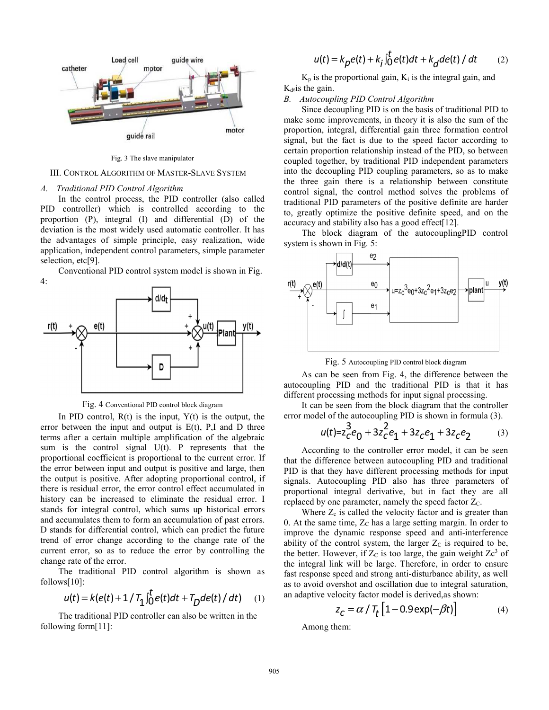

Fig. 3 The slave manipulator

#### III. CONTROL ALGORITHM OF MASTER-SLAVE SYSTEM

#### *A. Traditional PID Control Algorithm*

In the control process, the PID controller (also called PID controller) which is controlled according to the proportion (P), integral (I) and differential (D) of the deviation is the most widely used automatic controller. It has the advantages of simple principle, easy realization, wide application, independent control parameters, simple parameter selection, etc[9].

Conventional PID control system model is shown in Fig. 4:



Fig. 4 Conventional PID control block diagram

In PID control,  $R(t)$  is the input,  $Y(t)$  is the output, the error between the input and output is  $E(t)$ , P,I and D three terms after a certain multiple amplification of the algebraic sum is the control signal U(t). P represents that the proportional coefficient is proportional to the current error. If the error between input and output is positive and large, then the output is positive. After adopting proportional control, if there is residual error, the error control effect accumulated in history can be increased to eliminate the residual error. I stands for integral control, which sums up historical errors and accumulates them to form an accumulation of past errors. D stands for differential control, which can predict the future trend of error change according to the change rate of the current error, so as to reduce the error by controlling the change rate of the error.

The traditional PID control algorithm is shown as follows[10]:

$$
u(t) = k(e(t) + 1 / T_1 \int_0^t e(t) dt + T_D de(t) / dt)
$$
 (1)

The traditional PID controller can also be written in the following form[11]:

$$
u(t) = k_p e(t) + k_i \int_0^t e(t)dt + k_d de(t) / dt \qquad (2)
$$

 $K_p$  is the proportional gain,  $K_i$  is the integral gain, and  $K_{d6}$  is the gain.

## *B. Autocoupling PID Control Algorithm*

Since decoupling PID is on the basis of traditional PID to make some improvements, in theory it is also the sum of the proportion, integral, differential gain three formation control signal, but the fact is due to the speed factor according to certain proportion relationship instead of the PID, so between coupled together, by traditional PID independent parameters into the decoupling PID coupling parameters, so as to make the three gain there is a relationship between constitute control signal, the control method solves the problems of traditional PID parameters of the positive definite are harder to, greatly optimize the positive definite speed, and on the accuracy and stability also has a good effect[12].

The block diagram of the autocouplingPID control system is shown in Fig. 5:



Fig. 5 Autocoupling PID control block diagram

As can be seen from Fig. 4, the difference between the autocoupling PID and the traditional PID is that it has different processing methods for input signal processing.

It can be seen from the block diagram that the controller error model of the autocoupling PID is shown in formula (3).

$$
u(t) = z_0^3 e_0 + 3z_0^2 e_1 + 3z_0 e_1 + 3z_0 e_2 \tag{3}
$$

According to the controller error model, it can be seen that the difference between autocoupling PID and traditional PID is that they have different processing methods for input signals. Autocoupling PID also has three parameters of proportional integral derivative, but in fact they are all replaced by one parameter, namely the speed factor  $Z_C$ .

Where  $Z_c$  is called the velocity factor and is greater than 0. At the same time,  $Z_C$  has a large setting margin. In order to improve the dynamic response speed and anti-interference ability of the control system, the larger  $Z_c$  is required to be, the better. However, if  $Z_C$  is too large, the gain weight  $Zc<sup>3</sup>$  of the integral link will be large. Therefore, in order to ensure fast response speed and strong anti-disturbance ability, as well as to avoid overshot and oscillation due to integral saturation, an adaptive velocity factor model is derived,as shown:

$$
z_C = \alpha / T_t \left[ 1 - 0.9 \exp(-\beta t) \right]
$$
 (4)

Among them: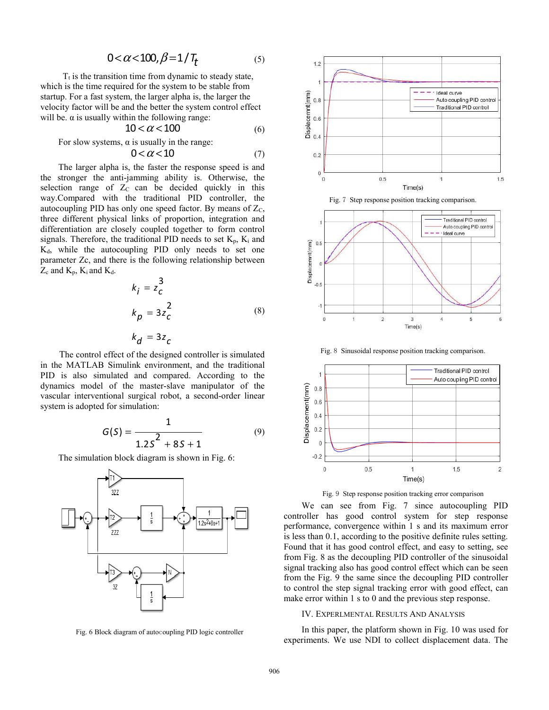$$
0 < \alpha < 100, \beta = 1/T_t \tag{5}
$$

 $T_t$  is the transition time from dynamic to steady state, which is the time required for the system to be stable from startup. For a fast system, the larger alpha is, the larger the velocity factor will be and the better the system control effect will be.  $\alpha$  is usually within the following range:

$$
10 < \alpha < 100 \tag{6}
$$

For slow systems,  $\alpha$  is usually in the range:

$$
0 < \alpha < 10 \tag{7}
$$

The larger alpha is, the faster the response speed is and the stronger the anti-jamming ability is. Otherwise, the selection range of  $Z_c$  can be decided quickly in this way.Compared with the traditional PID controller, the autocoupling PID has only one speed factor. By means of  $Z_c$ , three different physical links of proportion, integration and differentiation are closely coupled together to form control signals. Therefore, the traditional PID needs to set  $K_p$ ,  $K_i$  and Kd, while the autocoupling PID only needs to set one parameter Zc, and there is the following relationship between  $Z_c$  and  $K_p$ ,  $K_i$  and  $K_d$ .

$$
k_{i} = z_{c}^{3}
$$
  
\n
$$
k_{p} = 3z_{c}^{2}
$$
  
\n
$$
k_{d} = 3z_{c}
$$
  
\n(8)

The control effect of the designed controller is simulated in the MATLAB Simulink environment, and the traditional PID is also simulated and compared. According to the dynamics model of the master-slave manipulator of the vascular interventional surgical robot, a second-order linear system is adopted for simulation:

$$
G(S) = \frac{1}{1.2S^2 + 8S + 1}
$$
 (9)

The simulation block diagram is shown in Fig. 6:



Fig. 6 Block diagram of autocoupling PID logic controller



Fig. 7 Step response position tracking comparison.



Fig. 8 Sinusoidal response position tracking comparison.



Fig. 9 Step response position tracking error comparison

We can see from Fig. 7 since autocoupling PID controller has good control system for step response performance, convergence within 1 s and its maximum error is less than 0.1, according to the positive definite rules setting. Found that it has good control effect, and easy to setting, see from Fig. 8 as the decoupling PID controller of the sinusoidal signal tracking also has good control effect which can be seen from the Fig. 9 the same since the decoupling PID controller to control the step signal tracking error with good effect, can make error within 1 s to 0 and the previous step response.

#### IV. EXPERLMENTAL RESULTS AND ANALYSIS

In this paper, the platform shown in Fig. 10 was used for experiments. We use NDI to collect displacement data. The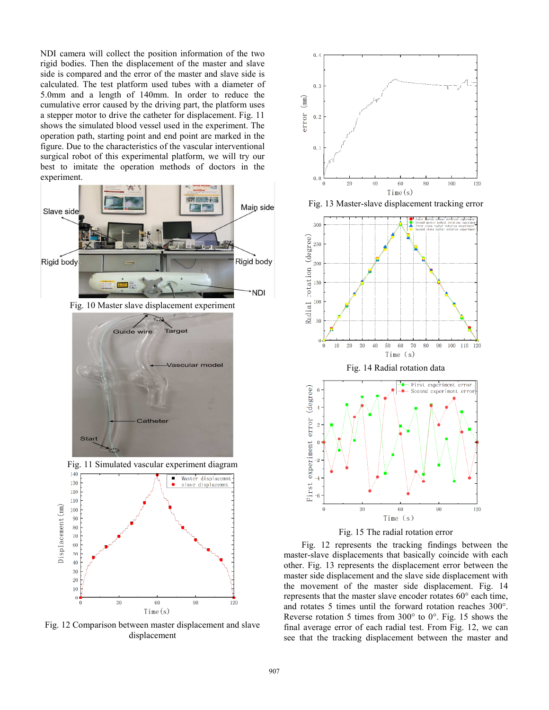NDI camera will collect the position information of the two rigid bodies. Then the displacement of the master and slave side is compared and the error of the master and slave side is calculated. The test platform used tubes with a diameter of 5.0mm and a length of 140mm. In order to reduce the cumulative error caused by the driving part, the platform uses a stepper motor to drive the catheter for displacement. Fig. 11 shows the simulated blood vessel used in the experiment. The operation path, starting point and end point are marked in the figure. Due to the characteristics of the vascular interventional surgical robot of this experimental platform, we will try our best to imitate the operation methods of doctors in the experiment.



Fig. 10 Master slave displacement experiment







Fig. 12 Comparison between master displacement and slave displacement



Fig. 13 Master-slave displacement tracking error





Fig. 12 represents the tracking findings between the master-slave displacements that basically coincide with each other. Fig. 13 represents the displacement error between the master side displacement and the slave side displacement with the movement of the master side displacement. Fig. 14 represents that the master slave encoder rotates 60° each time, and rotates 5 times until the forward rotation reaches 300°. Reverse rotation 5 times from 300° to 0°. Fig. 15 shows the final average error of each radial test. From Fig. 12, we can see that the tracking displacement between the master and